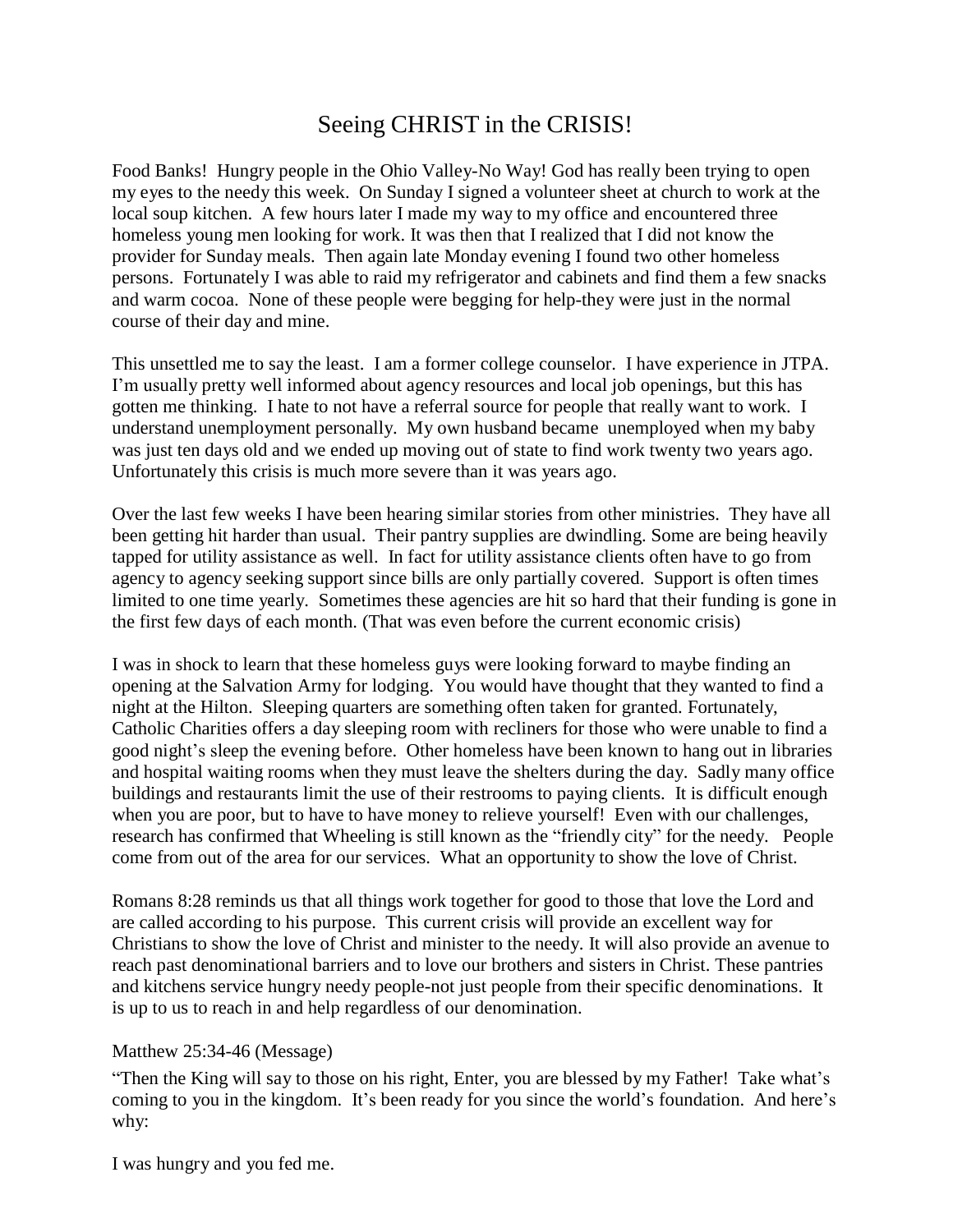## Seeing CHRIST in the CRISIS!

Food Banks! Hungry people in the Ohio Valley-No Way! God has really been trying to open my eyes to the needy this week. On Sunday I signed a volunteer sheet at church to work at the local soup kitchen. A few hours later I made my way to my office and encountered three homeless young men looking for work. It was then that I realized that I did not know the provider for Sunday meals. Then again late Monday evening I found two other homeless persons. Fortunately I was able to raid my refrigerator and cabinets and find them a few snacks and warm cocoa. None of these people were begging for help-they were just in the normal course of their day and mine.

This unsettled me to say the least. I am a former college counselor. I have experience in JTPA. I'm usually pretty well informed about agency resources and local job openings, but this has gotten me thinking. I hate to not have a referral source for people that really want to work. I understand unemployment personally. My own husband became unemployed when my baby was just ten days old and we ended up moving out of state to find work twenty two years ago. Unfortunately this crisis is much more severe than it was years ago.

Over the last few weeks I have been hearing similar stories from other ministries. They have all been getting hit harder than usual. Their pantry supplies are dwindling. Some are being heavily tapped for utility assistance as well. In fact for utility assistance clients often have to go from agency to agency seeking support since bills are only partially covered. Support is often times limited to one time yearly. Sometimes these agencies are hit so hard that their funding is gone in the first few days of each month. (That was even before the current economic crisis)

I was in shock to learn that these homeless guys were looking forward to maybe finding an opening at the Salvation Army for lodging. You would have thought that they wanted to find a night at the Hilton. Sleeping quarters are something often taken for granted. Fortunately, Catholic Charities offers a day sleeping room with recliners for those who were unable to find a good night's sleep the evening before. Other homeless have been known to hang out in libraries and hospital waiting rooms when they must leave the shelters during the day. Sadly many office buildings and restaurants limit the use of their restrooms to paying clients. It is difficult enough when you are poor, but to have to have money to relieve yourself! Even with our challenges, research has confirmed that Wheeling is still known as the "friendly city" for the needy. People come from out of the area for our services. What an opportunity to show the love of Christ.

Romans 8:28 reminds us that all things work together for good to those that love the Lord and are called according to his purpose. This current crisis will provide an excellent way for Christians to show the love of Christ and minister to the needy. It will also provide an avenue to reach past denominational barriers and to love our brothers and sisters in Christ. These pantries and kitchens service hungry needy people-not just people from their specific denominations. It is up to us to reach in and help regardless of our denomination.

## Matthew 25:34-46 (Message)

"Then the King will say to those on his right, Enter, you are blessed by my Father! Take what's coming to you in the kingdom. It's been ready for you since the world's foundation. And here's why:

I was hungry and you fed me.